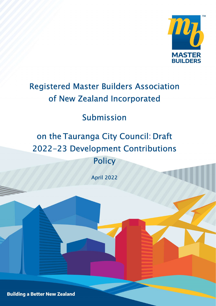

# Registered Master Builders Association of New Zealand Incorporated

# Submission

# on the Tauranga City Council: Draft 2022-23 Development Contributions **Policy**

April 2022

**Building a Better New Zealand**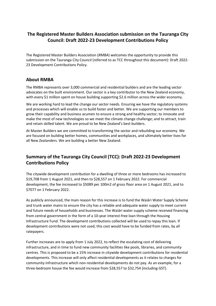## The Registered Master Builders Association submission on the Tauranga City Council: Draft 2022-23 Development Contributions Policy

The Registered Master Builders Association (RMBA) welcomes the opportunity to provide this submission on the Tauranga City Council (referred to as TCC throughout this document): Draft 2022- 23 Development Contributions Policy.

### About RMBA

The RMBA represents over 3,000 commercial and residential builders and are the leading sector advocates on the built environment. Our sector is a key contributor to the New Zealand economy, with every \$1 million spent on house building supporting \$2.6 million across the wider economy.

We are working hard to lead the change our sector needs. Ensuring we have the regulatory systems and processes which will enable us to build faster and better. We are supporting our members to grow their capability and business acumen to ensure a strong and healthy sector; to innovate and make the most of new technologies so we meet the climate change challenge; and to attract, train and retain skilled talent. We are proud to be New Zealand's best builders.

At Master Builders we are committed to transforming the sector and rebuilding our economy. We are focused on building better homes, communities and workplaces, and ultimately better lives for all New Zealanders. We are building a better New Zealand.

# Summary of the Tauranga City Council (TCC): Draft 2022-23 Development Contributions Policy

The citywide development contribution for a dwelling of three or more bedrooms has increased to \$19,708 from 1 August 2021, and then to \$28,557 on 1 February 2022. For commercial development, the fee increased to \$5089 per 100m2 of gross floor area on 1 August 2021, and to \$7077 on 1 February 2022.

As publicly announced, the main reason for this increase is to fund the Waiāri Water Supply Scheme and trunk water mains to ensure the city has a reliable and adequate water supply to meet current and future needs of households and businesses. The Waiāri water supply scheme received financing from central government in the form of a 10-year interest-free loan through the Housing Infrastructure Fund. The development contributions collected will be used to repay this loan. If development contributions were not used, this cost would have to be funded from rates, by all ratepayers.

Further increases are to apply from 1 July 2022, to reflect the escalating cost of delivering infrastructure, and in time to fund new community facilities like pools, libraries, and community centres. This is proposed to be a 15% increase in citywide development contributions for residential developments. This increase will only affect residential developments as it relates to charges for community infrastructure which non-residential developments do not pay. As an example, for a three-bedroom house the fee would increase from \$28,557 to \$32,754 (including GST).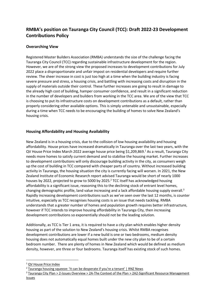# RMBA's position on Tauranga City Council (TCC): Draft 2022-23 Development Contributions Policy

#### Overarching View

Registered Master Builders Association (RMBA) understands the size of the challenge facing the Tauranga City Council (TCC) regarding sustainable infrastructure development for the region. However, we are of the strong view the proposed increases to development contributions for July 2022 place a disproportionate and unfair impost on residential developers and require further review. The sheer increase in cost is just too high at a time when the building industry is facing severe pressure and stress, a housing crisis, and battling with increasing costs and disruption in the supply of materials outside their control. These further increases are going to result in damage to the already high cost of building, hamper consumer confidence, and result in a significant reduction in the number of developers and builders from working in the TCC area. We are of the view that TCC is choosing to put its infrastructure costs on development contributions as a default, rather than properly considering other available options. This is simply untenable and unsustainable, especially during a time when TCC needs to be encouraging the building of homes to solve New Zealand's housing crisis.

#### Housing Affordability and Housing Availability

New Zealand is in a housing crisis, due to the collision of low housing availability and housing affordability. House prices have increased dramatically in Tauranga over the last two years, with the QV House Price Index March 2022 average house price being \$1,209,869.<sup>1</sup> As a result, Tauranga City needs more homes to satisfy current demand and to stabilise the housing market. Further increases to development contributions will only discourage building activity in the city, as consumers weigh up the cost of building in TCC compared with cheaper parts of country. Without increased building activity in Tauranga, the housing situation the city is currently facing will worsen. In 2021, the New Zealand Institute of Economic Research report advised Tauranga would be short of nearly 1000 houses by 2022, projected to grow to 5000 by 2025.<sup>2</sup> TCC itself has acknowledged housing affordability is a significant issue, reasoning this to the declining stock of entrant level homes, changing demographic profile, land value increasing and a lack affordable housing supply overall.<sup>3</sup> Rapidly increasing development contributions such as we've seen over the last 12 months, is counter intuitive, especially as TCC recognises housing costs is an issue that needs tackling. RMBA understands that a greater number of homes and population growth requires better infrastructure, however if TCC intends to improve housing affordability in Tauranga City, then increasing development contributions so exponentially should not be the leading solution.

Additionally, as TCC is Tier 1 area, it is required to have a city plan which enables higher density housing as part of the solution to New Zealand's housing crisis. Whilst RMBA recognises development contributions are lower if a new build is one or two bedrooms, medium density housing does not automatically equal homes built under the new city plan to be of a certain bedroom number. There are plenty of homes in New Zealand which would be defined as medium density, however, are three or four bedrooms. Tauranga itself has existing stock of such homes.

<sup>&</sup>lt;sup>1</sup> QV House Price Index

<sup>&</sup>lt;sup>2</sup> Tauranga housing squeeze: 'It can be desperate if you're a tenant' | RNZ News

<sup>&</sup>lt;sup>3</sup> Tauranga City Plan > 2-Issues Overview > 2A-The Context of the Plan > 2A2-Significant Resource Management **Issues**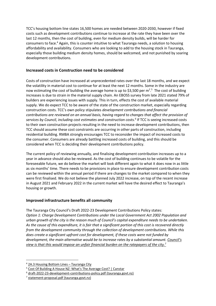TCC's housing bottom line states 16,500 homes are needed between 2020-2030, however if fixed costs such as development contributions continue to increase at the rate they have been over the last 12 months, then the cost of building, even for medium density builds, will be harder for consumers to face.<sup>4</sup> Again, this is counter intuitive to what Tauranga needs, a solution to housing affordability and availability. Consumers who are looking to add to the housing stock in Tauranga, especially those building medium density homes, should be welcomed, and not punished by soaring development contributions.

#### Increased costs in Construction need to be considered

Costs of construction have increased at unprecedented rates over the last 18 months, and we expect the volatility in material cost to continue for at least the next 12 months. Some in the industry are now estimating the cost of building the average home is up to \$3,500 per  $m^2$ .<sup>5</sup> The cost of building increases is due to strain in the material supply chain. An EBOSS survey from late 2021 stated 79% of builders are experiencing issues with supply. This in turn, effects the cost of available material supply. We do expect TCC to be aware of the state of the construction market, especially regarding construction costs. TCC's own policy stipulates development contributions and financial contributions are reviewed on an annual basis, having regard to changes that affect the provision of services by Council, including cost estimates and construction costs.<sup>6</sup> If TCC is seeing increased costs to their own construction projects resulting in the need to increase development contributions, then TCC should assume these cost constraints are occurring in other parts of construction, including residential building. RMBA strongly encourages TCC to reconsider the impact of increased costs to the consumer. Consumers are already battling increased costs of building, and this should be considered when TCC is deciding their development contributions policy.

The current policy of reviewing annually, and finalising development contribution increases up to a year in advance should also be reviewed. As the cost of building continues to be volatile for the foreseeable future, we do believe the market will look different again to what it does now in as little as six months' time. There needs to be provisions in place to ensure development contribution costs can be reviewed within the annual period if there are changes to the market compared to when they were first finalised. We do not believe the planned July 2022 increase, on top of the recent increase in August 2021 and February 2022 in the current market will have the desired effect to Tauranga's housing or growth.

#### Improved infrastructure benefits all community

The Tauranga City Council's Draft 2022-23 Development Contributions Policy states: Option 1: Charge Development Contributions under the Local Government Act 2002 Population and urban growth of the city is the reason much of Council's capital expenditure needs to be undertaken. As the cause of this expenditure, it is fair that a significant portion of this cost is recovered directly from the development community through the collection of development contributions. While this does create a significant upfront cost for development, if these costs were not funded by development, the main alternative would be to increase rates by a substantial amount. Council's view is that this would impose an unfair financial burden on the ratepayers of the city.<sup>7</sup>

<sup>&</sup>lt;sup>4</sup> 2A.3 Housing Bottom Lines - Tauranga City

<sup>&</sup>lt;sup>5</sup> Cost Of Building A House NZ: What's The Average Cost? | Canstar

<sup>&</sup>lt;sup>6</sup> draft-2022-23-development-contributions-policy.pdf (tauranga.govt.nz)

<sup>&</sup>lt;sup>7</sup> statement-proposal.pdf (tauranga.govt.nz)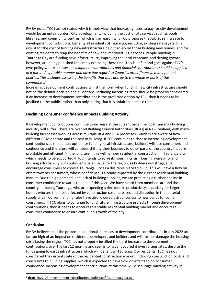RMBA notes TCC has not stated why it is their view that increasing rates to pay for city development would be an unfair burden. City development, including the cost of city services such as pools, libraries, and community centres, which is the reason why TCC proposes the July 2022 increase to development contributions, benefits all residents of Tauranga, including existing ratepayers. It is unjust for the cost of funding new infrastructure be put solely on those building new homes, and for existing residents to reap the benefits of new and improved TCC services. People building in Tauranga City are funding new infrastructure, improving the local economy, and driving growth, however, are being punished for simply not being there first. This is unfair and goes against TCC's own policy where it states: development contributions and financial contributions should be applied in a fair and equitable manner and have due regard to Council's other financial management policies. This includes assessing the benefits that may accrue to the whole or parts of the community.<sup>8</sup>

Increasing development contributions whilst the norm when funding new city infrastructure should not be the default decision and all options, including increasing rates should be properly considered. If an increase to development contributions is the preferred option by TCC, then it needs to be justified to the public, rather than only stating that it is unfair to increase rates.

#### Declining Consumer confidence impacts Building Activity

If development contributions continue to increase at the current pace, the local Tauranga building industry will suffer. There are over 60 Building Council Authorities (BCAs) in New Zealand, with many building businesses working across multiple BCA and BCA processes. Builders are aware of how different BCAs operate and the cost of building. If TCC continues to choose increasing development contributions as the default option for funding local infrastructure, builders will lose consumers and confidence and therefore will consider shifting their business to other parts of the country that are profitable and efficient. In the long term, this will hamper residential construction in Tauranga City, which needs to be supported if TCC intends to solve its housing crisis. Housing availability and housing affordability will continue to be an issue for the region, as builders will struggle to encourage consumers to choose Tauranga City as a desirable place to build. This will have a flow on effect towards consumers, whose confidence is already impacted by the current residential building market. Due to high demand, and lack of building supplies, we are predicting a further decline in consumer confidence towards the end of this year. We have heard from members around the country, including Tauranga, who are expecting a decrease in productivity, especially for larger homes who are the most effected by construction cost increases and disruption in the material supply chain. Current lending rules have also lowered attractiveness to new builds for some consumers. If TCC plans to continue to fund future infrastructure projects through development contributions, then it needs to encourage a stable residential building market and encourage consumer confidence to ensure continued growth of the city.

#### Conclusion

RMBA believes that the proposed additional increases to development contributions in July 2022 are far too high of an impost on residential developers and builders and will further damage the housing crisis facing the region. TCC has not properly justified the third increase to development contributions over the last 12 months and seems to have favoured it over raising rates, despite the funds going towards infrastructure which will benefit all Tauranga City residents. TCC has not considered the current state of the residential construction market, including construction costs and constraints to building supplies, which is expected to have flow on effects to on consumer confidence. Increasing development contributions at this time will discourage building activity in

<sup>8</sup> draft-2022-23-development-contributions-policy.pdf (tauranga.govt.nz)